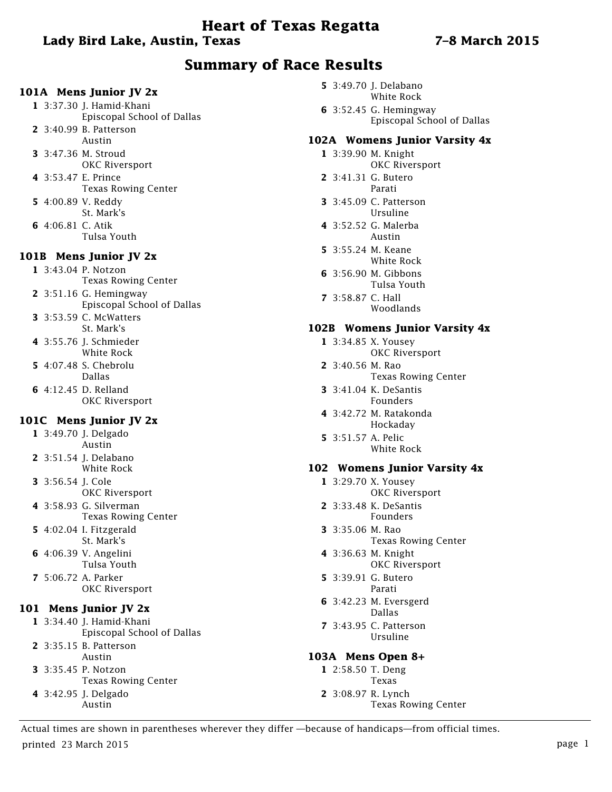# **Heart of Texas Regatta**

# **Lady Bird Lake, Austin, Texas 7–8 March 2015**

# **Summary of Race Results**

#### **101A Mens Junior JV 2x**

**1** 3:37.30 J. Hamid-Khani Episcopal School of Dallas **2** 3:40.99 B. Patterson Austin **3** 3:47.36 M. Stroud OKC Riversport **4** 3:53.47 E. Prince Texas Rowing Center **5** 4:00.89 V. Reddy St. Mark's **6** 4:06.81 C. Atik Tulsa Youth **101B Mens Junior JV 2x**

# **1** 3:43.04 P. Notzon

Texas Rowing Center

- **2** 3:51.16 G. Hemingway Episcopal School of Dallas
- **3** 3:53.59 C. McWatters St. Mark's
- **4** 3:55.76 J. Schmieder White Rock
- **5** 4:07.48 S. Chebrolu Dallas
- **6** 4:12.45 D. Relland OKC Riversport

#### **101C Mens Junior JV 2x**

- **1** 3:49.70 J. Delgado Austin
- **2** 3:51.54 J. Delabano White Rock
- **3** 3:56.54 J. Cole OKC Riversport
- **4** 3:58.93 G. Silverman Texas Rowing Center
- **5** 4:02.04 I. Fitzgerald St. Mark's
- **6** 4:06.39 V. Angelini Tulsa Youth
- **7** 5:06.72 A. Parker OKC Riversport

#### **101 Mens Junior JV 2x**

- **1** 3:34.40 J. Hamid-Khani Episcopal School of Dallas
- **2** 3:35.15 B. Patterson Austin **3** 3:35.45 P. Notzon
- Texas Rowing Center
- **4** 3:42.95 J. Delgado Austin
- **5** 3:49.70 J. Delabano White Rock
- **6** 3:52.45 G. Hemingway Episcopal School of Dallas

#### **102A Womens Junior Varsity 4x**

- **1** 3:39.90 M. Knight
- OKC Riversport **2** 3:41.31 G. Butero
- Parati
- **3** 3:45.09 C. Patterson Ursuline
- **4** 3:52.52 G. Malerba Austin
- **5** 3:55.24 M. Keane White Rock
- **6** 3:56.90 M. Gibbons Tulsa Youth
- **7** 3:58.87 C. Hall Woodlands

#### **102B Womens Junior Varsity 4x**

- **1** 3:34.85 X. Yousey
	- OKC Riversport
- **2** 3:40.56 M. Rao Texas Rowing Center
- **3** 3:41.04 K. DeSantis Founders
- **4** 3:42.72 M. Ratakonda Hockaday
- **5** 3:51.57 A. Pelic White Rock

#### **102 Womens Junior Varsity 4x**

- **1** 3:29.70 X. Yousey OKC Riversport
- **2** 3:33.48 K. DeSantis Founders
- **3** 3:35.06 M. Rao Texas Rowing Center
- **4** 3:36.63 M. Knight OKC Riversport
- **5** 3:39.91 G. Butero Parati
- **6** 3:42.23 M. Eversgerd Dallas
- **7** 3:43.95 C. Patterson Ursuline

#### **103A Mens Open 8+**

- **1** 2:58.50 T. Deng Texas
- **2** 3:08.97 R. Lynch Texas Rowing Center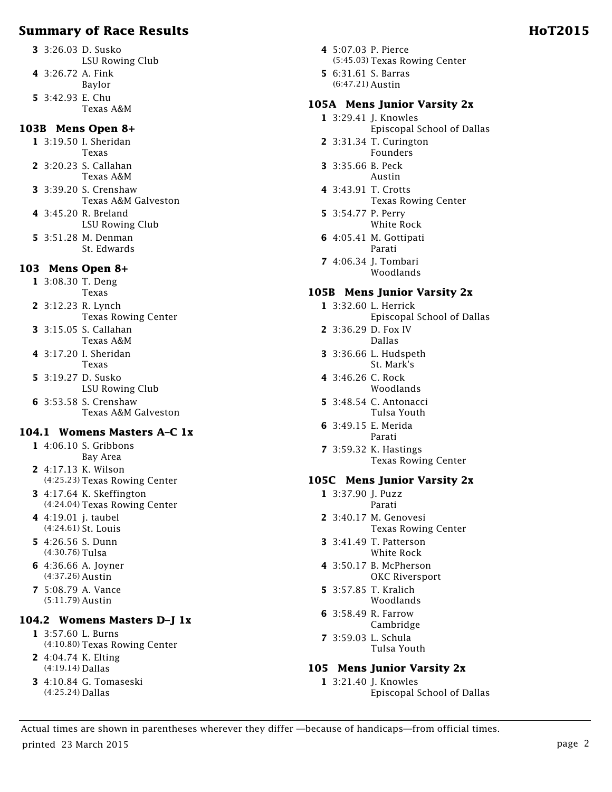- **3** 3:26.03 D. Susko LSU Rowing Club
- **4** 3:26.72 A. Fink
	- Baylor
- **5** 3:42.93 E. Chu Texas A&M

# **103B Mens Open 8+**

- **1** 3:19.50 I. Sheridan Texas
- **2** 3:20.23 S. Callahan Texas A&M
- **3** 3:39.20 S. Crenshaw Texas A&M Galveston
- **4** 3:45.20 R. Breland LSU Rowing Club
- **5** 3:51.28 M. Denman St. Edwards

# **103 Mens Open 8+**

- **1** 3:08.30 T. Deng
- Texas **2** 3:12.23 R. Lynch
	- Texas Rowing Center
- **3** 3:15.05 S. Callahan Texas A&M
- **4** 3:17.20 I. Sheridan Texas
- **5** 3:19.27 D. Susko LSU Rowing Club
- **6** 3:53.58 S. Crenshaw Texas A&M Galveston

# **104.1 Womens Masters A–C 1x**

- **1** 4:06.10 S. Gribbons Bay Area
- **2** 4:17.13 K. Wilson (4:25.23) Texas Rowing Center
- **3** 4:17.64 K. Skeffington (4:24.04) Texas Rowing Center
- **4** 4:19.01 j. taubel (4:24.61) St. Louis
- **5** 4:26.56 S. Dunn (4:30.76) Tulsa
- **6** 4:36.66 A. Joyner (4:37.26) Austin
- **7** 5:08.79 A. Vance (5:11.79) Austin

# **104.2 Womens Masters D–J 1x**

- **1** 3:57.60 L. Burns (4:10.80) Texas Rowing Center
- **2** 4:04.74 K. Elting (4:19.14) Dallas
- **3** 4:10.84 G. Tomaseski (4:25.24) Dallas
- **4** 5:07.03 P. Pierce (5:45.03) Texas Rowing Center
- **5** 6:31.61 S. Barras (6:47.21) Austin

# **105A Mens Junior Varsity 2x**

- **1** 3:29.41 J. Knowles Episcopal School of Dallas **2** 3:31.34 T. Curington Founders
- **3** 3:35.66 B. Peck Austin
- **4** 3:43.91 T. Crotts Texas Rowing Center
- **5** 3:54.77 P. Perry White Rock
- **6** 4:05.41 M. Gottipati Parati
- **7** 4:06.34 J. Tombari Woodlands

# **105B Mens Junior Varsity 2x**

- **1** 3:32.60 L. Herrick
	- Episcopal School of Dallas
- **2** 3:36.29 D. Fox IV Dallas
- **3** 3:36.66 L. Hudspeth St. Mark's
- **4** 3:46.26 C. Rock Woodlands
- **5** 3:48.54 C. Antonacci Tulsa Youth
- **6** 3:49.15 E. Merida Parati
- **7** 3:59.32 K. Hastings Texas Rowing Center

#### **105C Mens Junior Varsity 2x**

- **1** 3:37.90 J. Puzz Parati
- **2** 3:40.17 M. Genovesi Texas Rowing Center
- **3** 3:41.49 T. Patterson White Rock
- **4** 3:50.17 B. McPherson OKC Riversport
- **5** 3:57.85 T. Kralich Woodlands
- **6** 3:58.49 R. Farrow Cambridge
- **7** 3:59.03 L. Schula Tulsa Youth

# **105 Mens Junior Varsity 2x**

**1** 3:21.40 J. Knowles Episcopal School of Dallas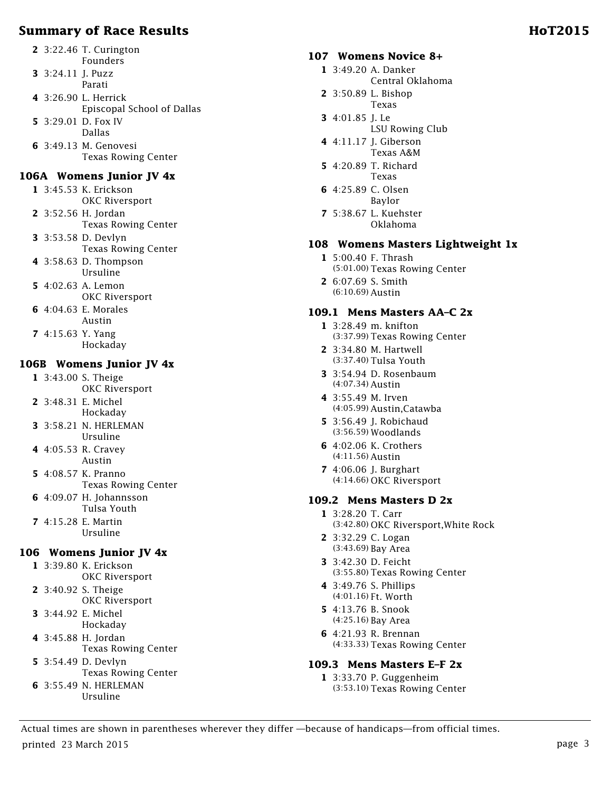- **2** 3:22.46 T. Curington Founders
- **3** 3:24.11 J. Puzz Parati
- **4** 3:26.90 L. Herrick Episcopal School of Dallas
- **5** 3:29.01 D. Fox IV Dallas
- **6** 3:49.13 M. Genovesi Texas Rowing Center

#### **106A Womens Junior JV 4x**

- **1** 3:45.53 K. Erickson OKC Riversport
- **2** 3:52.56 H. Jordan Texas Rowing Center
- **3** 3:53.58 D. Devlyn Texas Rowing Center
- **4** 3:58.63 D. Thompson Ursuline
- **5** 4:02.63 A. Lemon OKC Riversport
- **6** 4:04.63 E. Morales Austin
- **7** 4:15.63 Y. Yang Hockaday

### **106B Womens Junior JV 4x**

- **1** 3:43.00 S. Theige
- OKC Riversport **2** 3:48.31 E. Michel
- Hockaday
- **3** 3:58.21 N. HERLEMAN Ursuline
- **4** 4:05.53 R. Cravey Austin
- **5** 4:08.57 K. Pranno Texas Rowing Center
- **6** 4:09.07 H. Johannsson Tulsa Youth
- **7** 4:15.28 E. Martin Ursuline

# **106 Womens Junior JV 4x**

- **1** 3:39.80 K. Erickson OKC Riversport
- **2** 3:40.92 S. Theige OKC Riversport
- **3** 3:44.92 E. Michel Hockaday
- **4** 3:45.88 H. Jordan Texas Rowing Center
- **5** 3:54.49 D. Devlyn Texas Rowing Center **6** 3:55.49 N. HERLEMAN
	- Ursuline

### **107 Womens Novice 8+**

- **1** 3:49.20 A. Danker
	- Central Oklahoma
- **2** 3:50.89 L. Bishop Texas
- **3** 4:01.85 J. Le
- LSU Rowing Club
- **4** 4:11.17 J. Giberson Texas A&M
- **5** 4:20.89 T. Richard Texas
- **6** 4:25.89 C. Olsen Baylor
- **7** 5:38.67 L. Kuehster Oklahoma

### **108 Womens Masters Lightweight 1x**

- **1** 5:00.40 F. Thrash (5:01.00) Texas Rowing Center
- **2** 6:07.69 S. Smith (6:10.69) Austin

#### **109.1 Mens Masters AA–C 2x**

- **1** 3:28.49 m. knifton (3:37.99) Texas Rowing Center
- **2** 3:34.80 M. Hartwell (3:37.40) Tulsa Youth
- **3** 3:54.94 D. Rosenbaum (4:07.34) Austin
- **4** 3:55.49 M. Irven (4:05.99) Austin,Catawba
- **5** 3:56.49 J. Robichaud (3:56.59) Woodlands
- **6** 4:02.06 K. Crothers (4:11.56) Austin
- **7** 4:06.06 J. Burghart (4:14.66) OKC Riversport

# **109.2 Mens Masters D 2x**

- **1** 3:28.20 T. Carr (3:42.80) OKC Riversport,White Rock
- **2** 3:32.29 C. Logan (3:43.69) Bay Area
- **3** 3:42.30 D. Feicht (3:55.80) Texas Rowing Center
- **4** 3:49.76 S. Phillips (4:01.16) Ft. Worth
- **5** 4:13.76 B. Snook (4:25.16) Bay Area
- **6** 4:21.93 R. Brennan (4:33.33) Texas Rowing Center

#### **109.3 Mens Masters E–F 2x**

**1** 3:33.70 P. Guggenheim (3:53.10) Texas Rowing Center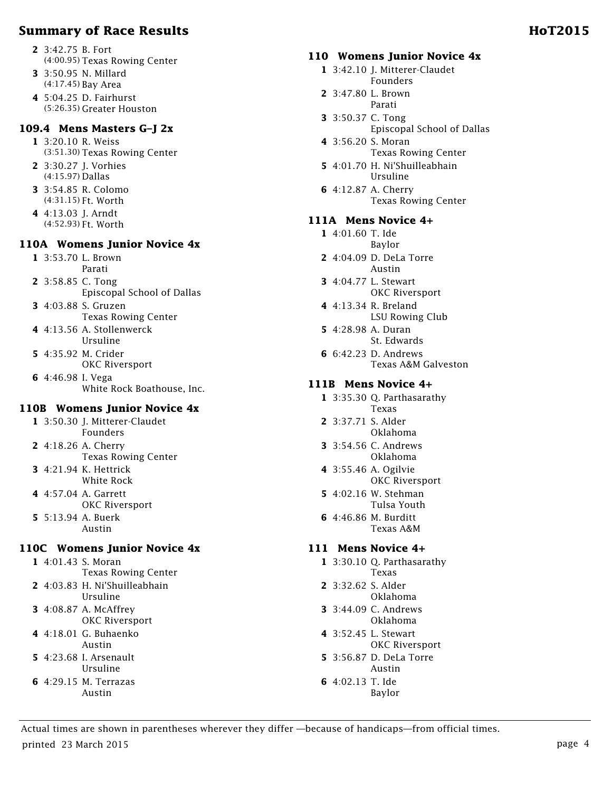- **3** 3:50.95 N. Millard (4:17.45) Bay Area
- **4** 5:04.25 D. Fairhurst (5:26.35) Greater Houston

# **109.4 Mens Masters G–J 2x**

- **1** 3:20.10 R. Weiss (3:51.30) Texas Rowing Center
- **2** 3:30.27 J. Vorhies (4:15.97) Dallas
- **3** 3:54.85 R. Colomo (4:31.15) Ft. Worth
- **4** 4:13.03 J. Arndt (4:52.93) Ft. Worth

#### **110A Womens Junior Novice 4x**

- **1** 3:53.70 L. Brown Parati
- **2** 3:58.85 C. Tong Episcopal School of Dallas
- **3** 4:03.88 S. Gruzen Texas Rowing Center
- **4** 4:13.56 A. Stollenwerck Ursuline
- **5** 4:35.92 M. Crider OKC Riversport
- **6** 4:46.98 I. Vega White Rock Boathouse, Inc.

# **110B Womens Junior Novice 4x**

- **1** 3:50.30 J. Mitterer-Claudet Founders
- **2** 4:18.26 A. Cherry Texas Rowing Center
- **3** 4:21.94 K. Hettrick White Rock
- **4** 4:57.04 A. Garrett OKC Riversport
- **5** 5:13.94 A. Buerk Austin

# **110C Womens Junior Novice 4x**

- **1** 4:01.43 S. Moran Texas Rowing Center **2** 4:03.83 H. Ni'Shuilleabhain
	- Ursuline
- **3** 4:08.87 A. McAffrey OKC Riversport
- **4** 4:18.01 G. Buhaenko Austin
- **5** 4:23.68 I. Arsenault Ursuline
- **6** 4:29.15 M. Terrazas Austin

# **110 Womens Junior Novice 4x**

- **1** 3:42.10 J. Mitterer-Claudet Founders
- **2** 3:47.80 L. Brown Parati
- **3** 3:50.37 C. Tong Episcopal School of Dallas
- **4** 3:56.20 S. Moran Texas Rowing Center
- **5** 4:01.70 H. Ni'Shuilleabhain Ursuline
- **6** 4:12.87 A. Cherry Texas Rowing Center

# **111A Mens Novice 4+**

- **1** 4:01.60 T. Ide
- Baylor **2** 4:04.09 D. DeLa Torre
- Austin
- **3** 4:04.77 L. Stewart OKC Riversport
- **4** 4:13.34 R. Breland LSU Rowing Club
- **5** 4:28.98 A. Duran St. Edwards
- **6** 6:42.23 D. Andrews Texas A&M Galveston

# **111B Mens Novice 4+**

- **1** 3:35.30 Q. Parthasarathy Texas
- **2** 3:37.71 S. Alder Oklahoma
- **3** 3:54.56 C. Andrews Oklahoma
- **4** 3:55.46 A. Ogilvie OKC Riversport
- **5** 4:02.16 W. Stehman Tulsa Youth
- **6** 4:46.86 M. Burditt Texas A&M

# **111 Mens Novice 4+**

- **1** 3:30.10 Q. Parthasarathy Texas
- **2** 3:32.62 S. Alder Oklahoma
- **3** 3:44.09 C. Andrews Oklahoma
- **4** 3:52.45 L. Stewart OKC Riversport
- **5** 3:56.87 D. DeLa Torre Austin
- **6** 4:02.13 T. Ide Baylor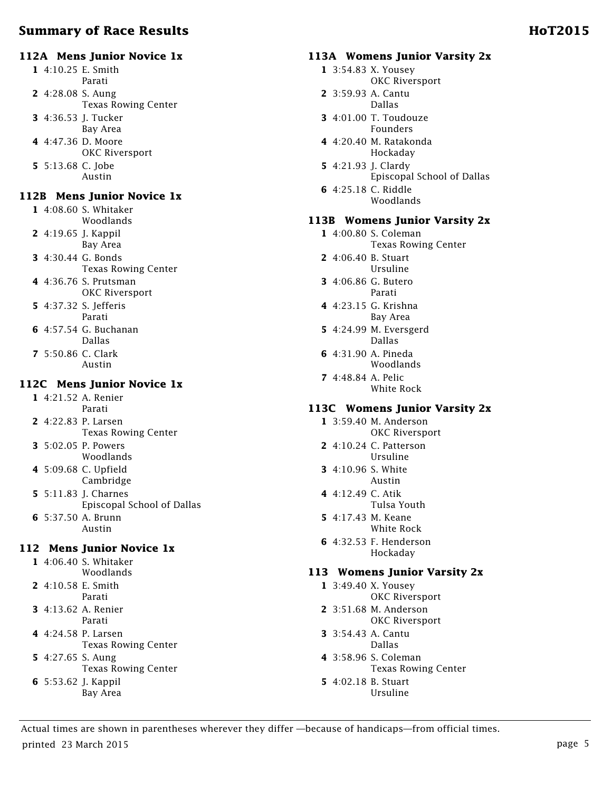# **112A Mens Junior Novice 1x**

- **1** 4:10.25 E. Smith Parati
- **2** 4:28.08 S. Aung Texas Rowing Center
- **3** 4:36.53 J. Tucker
- Bay Area
- **4** 4:47.36 D. Moore OKC Riversport
- **5** 5:13.68 C. Jobe Austin

#### **112B Mens Junior Novice 1x**

**1** 4:08.60 S. Whitaker Woodlands

- **2** 4:19.65 J. Kappil Bay Area
- **3** 4:30.44 G. Bonds
- Texas Rowing Center **4** 4:36.76 S. Prutsman OKC Riversport
- **5** 4:37.32 S. Jefferis Parati
- **6** 4:57.54 G. Buchanan Dallas
- **7** 5:50.86 C. Clark Austin

#### **112C Mens Junior Novice 1x**

**1** 4:21.52 A. Renier Parati

- **2** 4:22.83 P. Larsen Texas Rowing Center
- **3** 5:02.05 P. Powers Woodlands
- **4** 5:09.68 C. Upfield Cambridge
- **5** 5:11.83 J. Charnes Episcopal School of Dallas
- **6** 5:37.50 A. Brunn Austin

# **112 Mens Junior Novice 1x**

**1** 4:06.40 S. Whitaker Woodlands

- **2** 4:10.58 E. Smith Parati
- **3** 4:13.62 A. Renier Parati
- **4** 4:24.58 P. Larsen
- Texas Rowing Center
- **5** 4:27.65 S. Aung
	- Texas Rowing Center
- **6** 5:53.62 J. Kappil Bay Area

#### **113A Womens Junior Varsity 2x**

- **1** 3:54.83 X. Yousey
	- OKC Riversport
- **2** 3:59.93 A. Cantu Dallas
- **3** 4:01.00 T. Toudouze Founders
- **4** 4:20.40 M. Ratakonda Hockaday
- **5** 4:21.93 J. Clardy Episcopal School of Dallas
- **6** 4:25.18 C. Riddle Woodlands

#### **113B Womens Junior Varsity 2x**

- **1** 4:00.80 S. Coleman
	- Texas Rowing Center
- **2** 4:06.40 B. Stuart Ursuline
- **3** 4:06.86 G. Butero Parati
- **4** 4:23.15 G. Krishna Bay Area
- **5** 4:24.99 M. Eversgerd Dallas
- **6** 4:31.90 A. Pineda Woodlands
- **7** 4:48.84 A. Pelic White Rock

#### **113C Womens Junior Varsity 2x**

- **1** 3:59.40 M. Anderson OKC Riversport
- **2** 4:10.24 C. Patterson Ursuline
- **3** 4:10.96 S. White Austin
- **4** 4:12.49 C. Atik Tulsa Youth
- **5** 4:17.43 M. Keane White Rock
- **6** 4:32.53 F. Henderson Hockaday

#### **113 Womens Junior Varsity 2x**

- **1** 3:49.40 X. Yousey OKC Riversport
- **2** 3:51.68 M. Anderson OKC Riversport
- **3** 3:54.43 A. Cantu Dallas
- **4** 3:58.96 S. Coleman Texas Rowing Center
- **5** 4:02.18 B. Stuart Ursuline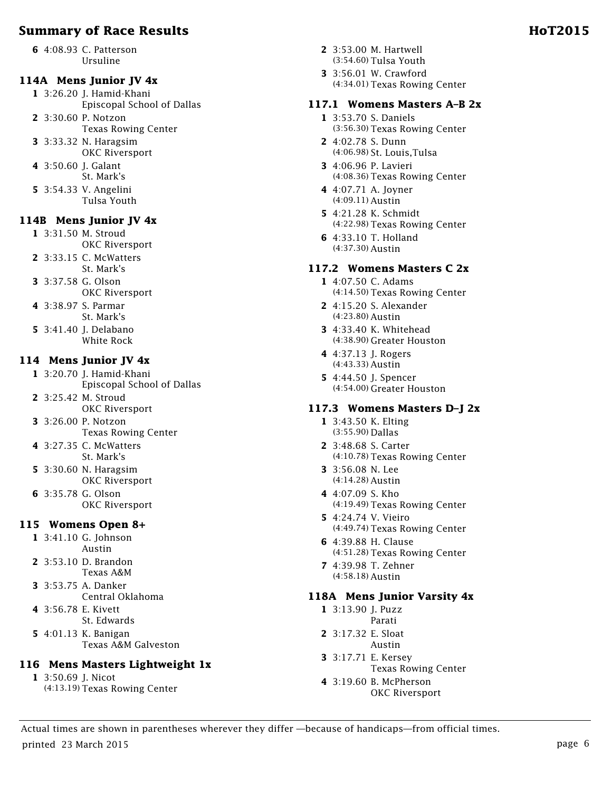**6** 4:08.93 C. Patterson Ursuline

#### **114A Mens Junior JV 4x**

- **1** 3:26.20 J. Hamid-Khani Episcopal School of Dallas
- **2** 3:30.60 P. Notzon
- Texas Rowing Center **3** 3:33.32 N. Haragsim
	- OKC Riversport
- **4** 3:50.60 J. Galant St. Mark's
- **5** 3:54.33 V. Angelini Tulsa Youth

### **114B Mens Junior JV 4x**

- **1** 3:31.50 M. Stroud OKC Riversport
- **2** 3:33.15 C. McWatters
	- St. Mark's
- **3** 3:37.58 G. Olson
- OKC Riversport
- **4** 3:38.97 S. Parmar St. Mark's
- **5** 3:41.40 **I.** Delabano White Rock

#### **114 Mens Junior JV 4x**

- **1** 3:20.70 J. Hamid-Khani Episcopal School of Dallas
- **2** 3:25.42 M. Stroud OKC Riversport
- **3** 3:26.00 P. Notzon Texas Rowing Center
- **4** 3:27.35 C. McWatters St. Mark's
- **5** 3:30.60 N. Haragsim OKC Riversport
- **6** 3:35.78 G. Olson OKC Riversport

#### **115 Womens Open 8+**

- **1** 3:41.10 G. Johnson Austin
- **2** 3:53.10 D. Brandon Texas A&M
- **3** 3:53.75 A. Danker Central Oklahoma
- **4** 3:56.78 E. Kivett
	- St. Edwards
- **5** 4:01.13 K. Banigan Texas A&M Galveston

# **116 Mens Masters Lightweight 1x**

- **1** 3:50.69 J. Nicot
	- (4:13.19) Texas Rowing Center
- **2** 3:53.00 M. Hartwell (3:54.60) Tulsa Youth
- **3** 3:56.01 W. Crawford (4:34.01) Texas Rowing Center

# **117.1 Womens Masters A–B 2x**

- **1** 3:53.70 S. Daniels (3:56.30) Texas Rowing Center
- **2** 4:02.78 S. Dunn (4:06.98) St. Louis,Tulsa
- **3** 4:06.96 P. Lavieri (4:08.36) Texas Rowing Center
- **4** 4:07.71 A. Joyner (4:09.11) Austin
- **5** 4:21.28 K. Schmidt (4:22.98) Texas Rowing Center
- **6** 4:33.10 T. Holland (4:37.30) Austin

# **117.2 Womens Masters C 2x**

- **1** 4:07.50 C. Adams (4:14.50) Texas Rowing Center
- **2** 4:15.20 S. Alexander (4:23.80) Austin
- **3** 4:33.40 K. Whitehead (4:38.90) Greater Houston
- **4** 4:37.13 J. Rogers (4:43.33) Austin
- **5** 4:44.50 J. Spencer (4:54.00) Greater Houston

# **117.3 Womens Masters D–J 2x**

- **1** 3:43.50 K. Elting (3:55.90) Dallas
- **2** 3:48.68 S. Carter (4:10.78) Texas Rowing Center
- **3** 3:56.08 N. Lee (4:14.28) Austin
- **4** 4:07.09 S. Kho (4:19.49) Texas Rowing Center
- **5** 4:24.74 V. Vieiro (4:49.74) Texas Rowing Center
- **6** 4:39.88 H. Clause (4:51.28) Texas Rowing Center
- **7** 4:39.98 T. Zehner (4:58.18) Austin

# **118A Mens Junior Varsity 4x**

- **1** 3:13.90 J. Puzz Parati
- **2** 3:17.32 E. Sloat Austin
- **3** 3:17.71 E. Kersey
- Texas Rowing Center
- **4** 3:19.60 B. McPherson OKC Riversport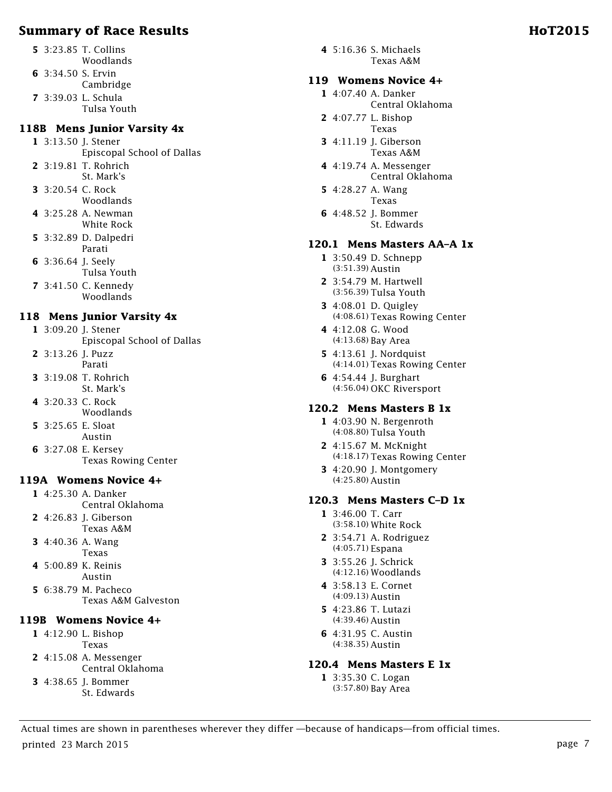- **5** 3:23.85 T. Collins Woodlands
- **6** 3:34.50 S. Ervin
	- Cambridge
- **7** 3:39.03 L. Schula Tulsa Youth

# **118B Mens Junior Varsity 4x**

**1** 3:13.50 J. Stener Episcopal School of Dallas

- **2** 3:19.81 T. Rohrich St. Mark's
- **3** 3:20.54 C. Rock Woodlands
- **4** 3:25.28 A. Newman White Rock
- **5** 3:32.89 D. Dalpedri Parati
- **6** 3:36.64 J. Seely
- Tulsa Youth
- **7** 3:41.50 C. Kennedy Woodlands

# **118 Mens Junior Varsity 4x**

- **1** 3:09.20 J. Stener
	- Episcopal School of Dallas
- **2** 3:13.26 J. Puzz Parati
- **3** 3:19.08 T. Rohrich St. Mark's
- **4** 3:20.33 C. Rock
- Woodlands
- **5** 3:25.65 E. Sloat Austin
- **6** 3:27.08 E. Kersey Texas Rowing Center

# **119A Womens Novice 4+**

- **1** 4:25.30 A. Danker Central Oklahoma
- **2** 4:26.83 J. Giberson
- Texas A&M
- **3** 4:40.36 A. Wang Texas
- **4** 5:00.89 K. Reinis Austin
- **5** 6:38.79 M. Pacheco Texas A&M Galveston

#### **119B Womens Novice 4+**

- **1** 4:12.90 L. Bishop Texas
- **2** 4:15.08 A. Messenger
- Central Oklahoma
- **3** 4:38.65 J. Bommer St. Edwards

**4** 5:16.36 S. Michaels Texas A&M

### **119 Womens Novice 4+**

- **1** 4:07.40 A. Danker Central Oklahoma
- **2** 4:07.77 L. Bishop Texas
- **3** 4:11.19 J. Giberson Texas A&M
- **4** 4:19.74 A. Messenger Central Oklahoma
- **5** 4:28.27 A. Wang Texas
- **6** 4:48.52 J. Bommer St. Edwards

# **120.1 Mens Masters AA–A 1x**

- **1** 3:50.49 D. Schnepp (3:51.39) Austin
- **2** 3:54.79 M. Hartwell (3:56.39) Tulsa Youth
- **3** 4:08.01 D. Quigley (4:08.61) Texas Rowing Center
- **4** 4:12.08 G. Wood (4:13.68) Bay Area
- **5** 4:13.61 **I.** Nordquist (4:14.01) Texas Rowing Center
- **6** 4:54.44 J. Burghart (4:56.04) OKC Riversport

#### **120.2 Mens Masters B 1x**

- **1** 4:03.90 N. Bergenroth (4:08.80) Tulsa Youth
- **2** 4:15.67 M. McKnight (4:18.17) Texas Rowing Center
- **3** 4:20.90 J. Montgomery (4:25.80) Austin

#### **120.3 Mens Masters C–D 1x**

- **1** 3:46.00 T. Carr (3:58.10) White Rock
- **2** 3:54.71 A. Rodriguez (4:05.71) Espana
- **3** 3:55.26 J. Schrick (4:12.16) Woodlands
- **4** 3:58.13 E. Cornet (4:09.13) Austin
- **5** 4:23.86 T. Lutazi (4:39.46) Austin
- **6** 4:31.95 C. Austin (4:38.35) Austin

#### **120.4 Mens Masters E 1x**

**1** 3:35.30 C. Logan (3:57.80) Bay Area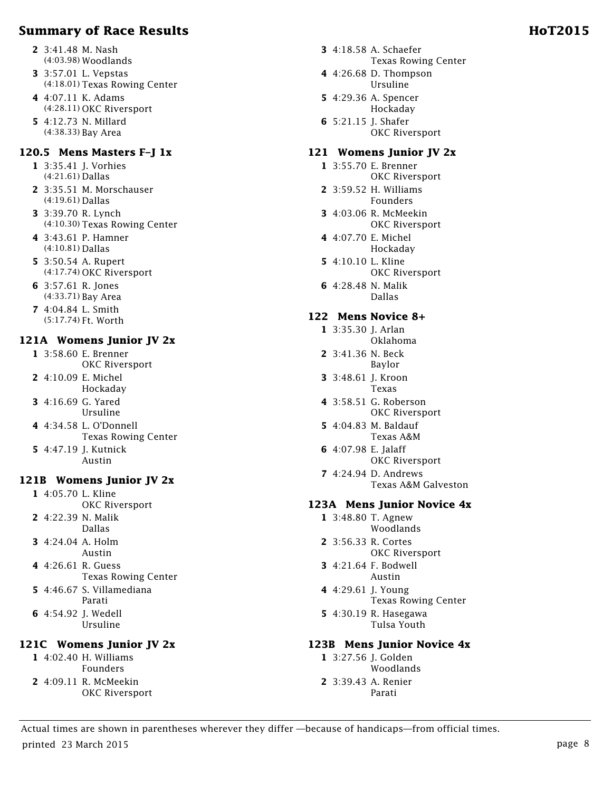- **2** 3:41.48 M. Nash (4:03.98) Woodlands
- **3** 3:57.01 L. Vepstas (4:18.01) Texas Rowing Center
- **4** 4:07.11 K. Adams (4:28.11) OKC Riversport
- **5** 4:12.73 N. Millard (4:38.33) Bay Area

#### **120.5 Mens Masters F–J 1x**

- **1** 3:35.41 J. Vorhies (4:21.61) Dallas
- **2** 3:35.51 M. Morschauser (4:19.61) Dallas
- **3** 3:39.70 R. Lynch (4:10.30) Texas Rowing Center
- **4** 3:43.61 P. Hamner (4:10.81) Dallas
- **5** 3:50.54 A. Rupert (4:17.74) OKC Riversport
- **6** 3:57.61 R. Jones (4:33.71) Bay Area
- **7** 4:04.84 L. Smith (5:17.74) Ft. Worth

#### **121A Womens Junior JV 2x**

- **1** 3:58.60 E. Brenner OKC Riversport
- **2** 4:10.09 E. Michel Hockaday
- **3** 4:16.69 G. Yared Ursuline
- **4** 4:34.58 L. O'Donnell Texas Rowing Center
- **5** 4:47.19 J. Kutnick Austin

#### **121B Womens Junior JV 2x**

- **1** 4:05.70 L. Kline OKC Riversport
- **2** 4:22.39 N. Malik Dallas
- **3** 4:24.04 A. Holm Austin
- **4** 4:26.61 R. Guess Texas Rowing Center
- **5** 4:46.67 S. Villamediana Parati
- **6** 4:54.92 J. Wedell Ursuline

# **121C Womens Junior JV 2x**

**1** 4:02.40 H. Williams Founders **2** 4:09.11 R. McMeekin OKC Riversport

- **3** 4:18.58 A. Schaefer Texas Rowing Center
- **4** 4:26.68 D. Thompson Ursuline
- **5** 4:29.36 A. Spencer Hockaday
- **6** 5:21.15 J. Shafer OKC Riversport

#### **121 Womens Junior JV 2x**

- **1** 3:55.70 E. Brenner OKC Riversport
- **2** 3:59.52 H. Williams Founders
- **3** 4:03.06 R. McMeekin OKC Riversport
- **4** 4:07.70 E. Michel Hockaday
- **5** 4:10.10 L. Kline OKC Riversport
- **6** 4:28.48 N. Malik Dallas

#### **122 Mens Novice 8+**

- **1** 3:35.30 J. Arlan Oklahoma
- **2** 3:41.36 N. Beck Baylor
- **3** 3:48.61 J. Kroon Texas
- **4** 3:58.51 G. Roberson OKC Riversport
- **5** 4:04.83 M. Baldauf Texas A&M
- **6** 4:07.98 E. Jalaff OKC Riversport
- **7** 4:24.94 D. Andrews Texas A&M Galveston

#### **123A Mens Junior Novice 4x**

- **1** 3:48.80 T. Agnew Woodlands
- **2** 3:56.33 R. Cortes OKC Riversport
- **3** 4:21.64 F. Bodwell Austin
- **4** 4:29.61 J. Young Texas Rowing Center
- **5** 4:30.19 R. Hasegawa Tulsa Youth

#### **123B Mens Junior Novice 4x**

- **1** 3:27.56 J. Golden Woodlands
- **2** 3:39.43 A. Renier Parati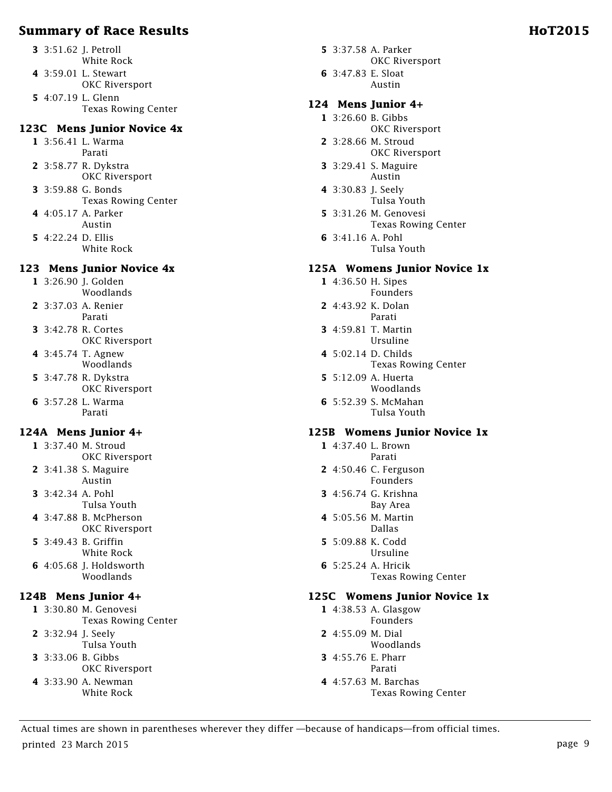- **3** 3:51.62 J. Petroll White Rock
- **4** 3:59.01 L. Stewart
- OKC Riversport **5** 4:07.19 L. Glenn
- Texas Rowing Center

### **123C Mens Junior Novice 4x**

- **1** 3:56.41 L. Warma Parati
- **2** 3:58.77 R. Dykstra OKC Riversport
- **3** 3:59.88 G. Bonds Texas Rowing Center
- **4** 4:05.17 A. Parker Austin
- **5** 4:22.24 D. Ellis White Rock

# **123 Mens Junior Novice 4x**

- **1** 3:26.90 J. Golden Woodlands
- **2** 3:37.03 A. Renier Parati
- **3** 3:42.78 R. Cortes OKC Riversport
- **4** 3:45.74 T. Agnew Woodlands
- **5** 3:47.78 R. Dykstra OKC Riversport
- **6** 3:57.28 L. Warma Parati

# **124A Mens Junior 4+**

- **1** 3:37.40 M. Stroud OKC Riversport
- **2** 3:41.38 S. Maguire Austin
- **3** 3:42.34 A. Pohl Tulsa Youth
- **4** 3:47.88 B. McPherson OKC Riversport
- **5** 3:49.43 B. Griffin White Rock
- **6** 4:05.68 J. Holdsworth Woodlands

# **124B Mens Junior 4+**

- **1** 3:30.80 M. Genovesi Texas Rowing Center
- **2** 3:32.94 J. Seely
- Tulsa Youth
- **3** 3:33.06 B. Gibbs
	- OKC Riversport
- **4** 3:33.90 A. Newman White Rock
- **5** 3:37.58 A. Parker OKC Riversport
- **6** 3:47.83 E. Sloat Austin

### **124 Mens Junior 4+**

- **1** 3:26.60 B. Gibbs OKC Riversport
- **2** 3:28.66 M. Stroud OKC Riversport
- **3** 3:29.41 S. Maguire Austin
- **4** 3:30.83 J. Seely Tulsa Youth
- **5** 3:31.26 M. Genovesi Texas Rowing Center
- **6** 3:41.16 A. Pohl Tulsa Youth

### **125A Womens Junior Novice 1x**

- **1** 4:36.50 H. Sipes Founders
- **2** 4:43.92 K. Dolan Parati
- **3** 4:59.81 T. Martin Ursuline
- **4** 5:02.14 D. Childs Texas Rowing Center
- **5** 5:12.09 A. Huerta Woodlands
- **6** 5:52.39 S. McMahan Tulsa Youth

#### **125B Womens Junior Novice 1x**

- **1** 4:37.40 L. Brown Parati
- **2** 4:50.46 C. Ferguson Founders
- **3** 4:56.74 G. Krishna Bay Area
- **4** 5:05.56 M. Martin Dallas
- **5** 5:09.88 K. Codd Ursuline
- **6** 5:25.24 A. Hricik Texas Rowing Center

#### **125C Womens Junior Novice 1x**

- **1** 4:38.53 A. Glasgow Founders
- **2** 4:55.09 M. Dial
	- Woodlands
- **3** 4:55.76 E. Pharr Parati
- **4** 4:57.63 M. Barchas Texas Rowing Center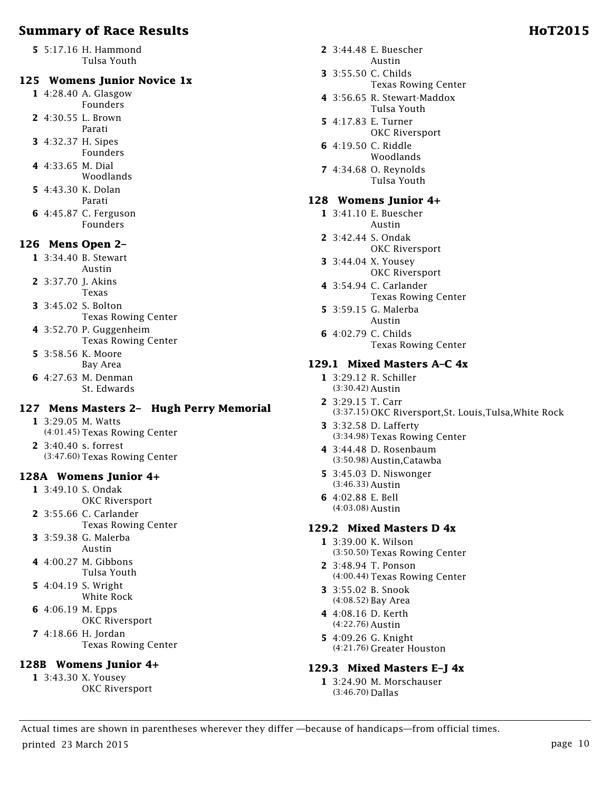**5** 5:17.16 H. Hammond Tulsa Youth

#### **125 Womens Junior Novice 1x**

- **1** 4:28.40 A. Glasgow Founders
- **2** 4:30.55 L. Brown
- Parati **3** 4:32.37 H. Sipes
- Founders
- **4** 4:33.65 M. Dial Woodlands
- **5** 4:43.30 K. Dolan Parati
- **6** 4:45.87 C. Ferguson Founders

### **126 Mens Open 2–**

- **1** 3:34.40 B. Stewart Austin
- **2** 3:37.70 J. Akins Texas
- **3** 3:45.02 S. Bolton Texas Rowing Center
- **4** 3:52.70 P. Guggenheim Texas Rowing Center
- **5** 3:58.56 K. Moore Bay Area
- **6** 4:27.63 M. Denman St. Edwards

#### **127 Mens Masters 2– Hugh Perry Memorial**

- **1** 3:29.05 M. Watts (4:01.45) Texas Rowing Center
- **2** 3:40.40 s. forrest (3:47.60) Texas Rowing Center

#### **128A Womens Junior 4+**

- **1** 3:49.10 S. Ondak
	- OKC Riversport
- **2** 3:55.66 C. Carlander Texas Rowing Center
- **3** 3:59.38 G. Malerba Austin
- **4** 4:00.27 M. Gibbons Tulsa Youth
- **5** 4:04.19 S. Wright White Rock
- **6** 4:06.19 M. Epps OKC Riversport
- **7** 4:18.66 H. Jordan Texas Rowing Center

# **128B Womens Junior 4+**

**1** 3:43.30 X. Yousey OKC Riversport

- **2** 3:44.48 E. Buescher Austin
- **3** 3:55.50 C. Childs Texas Rowing Center
- **4** 3:56.65 R. Stewart-Maddox Tulsa Youth
- **5** 4:17.83 E. Turner OKC Riversport
- **6** 4:19.50 C. Riddle Woodlands
- **7** 4:34.68 O. Reynolds Tulsa Youth

#### **128 Womens Junior 4+**

- **1** 3:41.10 E. Buescher Austin
- **2** 3:42.44 S. Ondak
	- OKC Riversport
- **3** 3:44.04 X. Yousey OKC Riversport
- **4** 3:54.94 C. Carlander Texas Rowing Center
- **5** 3:59.15 G. Malerba Austin
- **6** 4:02.79 C. Childs Texas Rowing Center

#### **129.1 Mixed Masters A–C 4x**

- **1** 3:29.12 R. Schiller (3:30.42) Austin
- **2** 3:29.15 T. Carr (3:37.15) OKC Riversport,St. Louis,Tulsa,White Rock
- **3** 3:32.58 D. Lafferty (3:34.98) Texas Rowing Center
- **4** 3:44.48 D. Rosenbaum (3:50.98) Austin,Catawba
- **5** 3:45.03 D. Niswonger (3:46.33) Austin
- **6** 4:02.88 E. Bell (4:03.08) Austin

#### **129.2 Mixed Masters D 4x**

- **1** 3:39.00 K. Wilson (3:50.50) Texas Rowing Center
- **2** 3:48.94 T. Ponson (4:00.44) Texas Rowing Center
- **3** 3:55.02 B. Snook (4:08.52) Bay Area
- **4** 4:08.16 D. Kerth (4:22.76) Austin
- **5** 4:09.26 G. Knight (4:21.76) Greater Houston

#### **129.3 Mixed Masters E–J 4x**

**1** 3:24.90 M. Morschauser (3:46.70) Dallas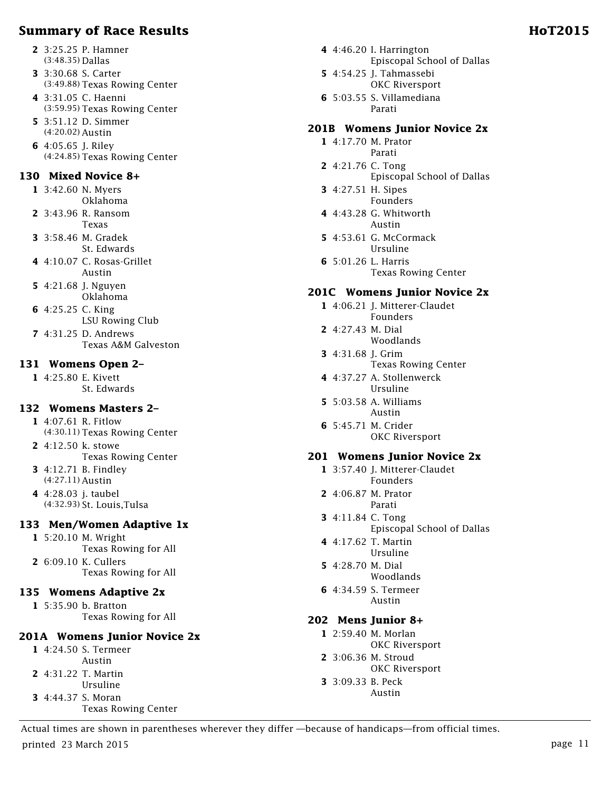- **2** 3:25.25 P. Hamner (3:48.35) Dallas
- **3** 3:30.68 S. Carter (3:49.88) Texas Rowing Center
- **4** 3:31.05 C. Haenni (3:59.95) Texas Rowing Center
- **5** 3:51.12 D. Simmer (4:20.02) Austin
- **6** 4:05.65 J. Riley (4:24.85) Texas Rowing Center

#### **130 Mixed Novice 8+**

- **1** 3:42.60 N. Myers Oklahoma
- **2** 3:43.96 R. Ransom Texas
- **3** 3:58.46 M. Gradek St. Edwards
- **4** 4:10.07 C. Rosas-Grillet Austin
- **5** 4:21.68 J. Nguyen Oklahoma
- **6** 4:25.25 C. King LSU Rowing Club
- **7** 4:31.25 D. Andrews Texas A&M Galveston

#### **131 Womens Open 2–**

**1** 4:25.80 E. Kivett St. Edwards

#### **132 Womens Masters 2–**

- **1** 4:07.61 R. Fitlow (4:30.11) Texas Rowing Center
- **2** 4:12.50 k. stowe Texas Rowing Center
- **3** 4:12.71 B. Findley (4:27.11) Austin
- **4** 4:28.03 j. taubel (4:32.93) St. Louis,Tulsa

# **133 Men/Women Adaptive 1x**

- **1** 5:20.10 M. Wright Texas Rowing for All **2** 6:09.10 K. Cullers
- Texas Rowing for All

#### **135 Womens Adaptive 2x**

**1** 5:35.90 b. Bratton Texas Rowing for All

# **201A Womens Junior Novice 2x**

- **1** 4:24.50 S. Termeer Austin **2** 4:31.22 T. Martin Ursuline **3** 4:44.37 S. Moran
- Texas Rowing Center
- **4** 4:46.20 I. Harrington Episcopal School of Dallas
- **5** 4:54.25 J. Tahmassebi OKC Riversport
- **6** 5:03.55 S. Villamediana Parati

# **201B Womens Junior Novice 2x**

- **1** 4:17.70 M. Prator Parati
- **2** 4:21.76 C. Tong Episcopal School of Dallas
- **3** 4:27.51 H. Sipes Founders
- **4** 4:43.28 G. Whitworth Austin
- **5** 4:53.61 G. McCormack Ursuline
- **6** 5:01.26 L. Harris Texas Rowing Center

#### **201C Womens Junior Novice 2x**

- **1** 4:06.21 J. Mitterer-Claudet Founders
- **2** 4:27.43 M. Dial Woodlands
- **3** 4:31.68 J. Grim
	- Texas Rowing Center
- **4** 4:37.27 A. Stollenwerck Ursuline
- **5** 5:03.58 A. Williams Austin
- **6** 5:45.71 M. Crider OKC Riversport

#### **201 Womens Junior Novice 2x**

- **1** 3:57.40 J. Mitterer-Claudet Founders
- **2** 4:06.87 M. Prator Parati
- **3** 4:11.84 C. Tong
	- Episcopal School of Dallas
- **4** 4:17.62 T. Martin Ursuline
- **5** 4:28.70 M. Dial Woodlands
- **6** 4:34.59 S. Termeer Austin

#### **202 Mens Junior 8+**

- **1** 2:59.40 M. Morlan OKC Riversport
- **2** 3:06.36 M. Stroud OKC Riversport
- **3** 3:09.33 B. Peck Austin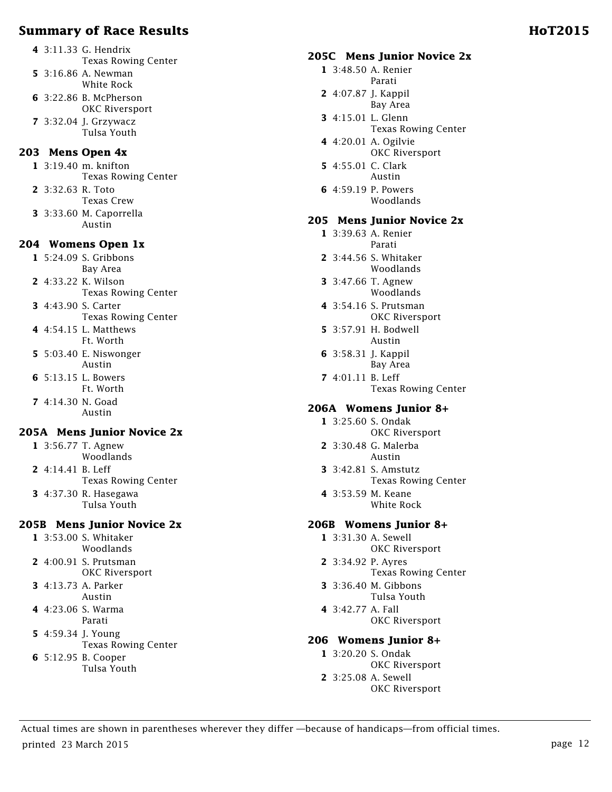- **4** 3:11.33 G. Hendrix Texas Rowing Center
- **5** 3:16.86 A. Newman White Rock
- **6** 3:22.86 B. McPherson OKC Riversport
- **7** 3:32.04 J. Grzywacz Tulsa Youth

### **203 Mens Open 4x**

**1** 3:19.40 m. knifton Texas Rowing Center

- **2** 3:32.63 R. Toto
	- Texas Crew
- **3** 3:33.60 M. Caporrella Austin

#### **204 Womens Open 1x**

- **1** 5:24.09 S. Gribbons Bay Area
- **2** 4:33.22 K. Wilson Texas Rowing Center
- **3** 4:43.90 S. Carter Texas Rowing Center
- **4** 4:54.15 L. Matthews Ft. Worth
- **5** 5:03.40 E. Niswonger Austin
- **6** 5:13.15 L. Bowers Ft. Worth
- **7** 4:14.30 N. Goad Austin

# **205A Mens Junior Novice 2x**

**1** 3:56.77 T. Agnew Woodlands **2** 4:14.41 B. Leff

- Texas Rowing Center
- **3** 4:37.30 R. Hasegawa Tulsa Youth

# **205B Mens Junior Novice 2x**

- **1** 3:53.00 S. Whitaker Woodlands
- **2** 4:00.91 S. Prutsman OKC Riversport
- **3** 4:13.73 A. Parker Austin
- **4** 4:23.06 S. Warma Parati
- **5** 4:59.34 J. Young Texas Rowing Center
- **6** 5:12.95 B. Cooper
	- Tulsa Youth

### **205C Mens Junior Novice 2x**

- **1** 3:48.50 A. Renier Parati
- **2** 4:07.87 J. Kappil Bay Area **3** 4:15.01 L. Glenn
- Texas Rowing Center
- **4** 4:20.01 A. Ogilvie OKC Riversport
- **5** 4:55.01 C. Clark Austin
- **6** 4:59.19 P. Powers Woodlands

#### **205 Mens Junior Novice 2x**

- **1** 3:39.63 A. Renier Parati
- **2** 3:44.56 S. Whitaker Woodlands
- **3** 3:47.66 T. Agnew Woodlands
- **4** 3:54.16 S. Prutsman OKC Riversport
- **5** 3:57.91 H. Bodwell Austin
- **6** 3:58.31 J. Kappil Bay Area
- **7** 4:01.11 B. Leff Texas Rowing Center

# **206A Womens Junior 8+**

- **1** 3:25.60 S. Ondak OKC Riversport
- **2** 3:30.48 G. Malerba Austin
- **3** 3:42.81 S. Amstutz Texas Rowing Center
- **4** 3:53.59 M. Keane White Rock

# **206B Womens Junior 8+**

- **1** 3:31.30 A. Sewell OKC Riversport
- **2** 3:34.92 P. Ayres Texas Rowing Center
- **3** 3:36.40 M. Gibbons Tulsa Youth
- **4** 3:42.77 A. Fall
- OKC Riversport

# **206 Womens Junior 8+**

- **1** 3:20.20 S. Ondak OKC Riversport
- **2** 3:25.08 A. Sewell OKC Riversport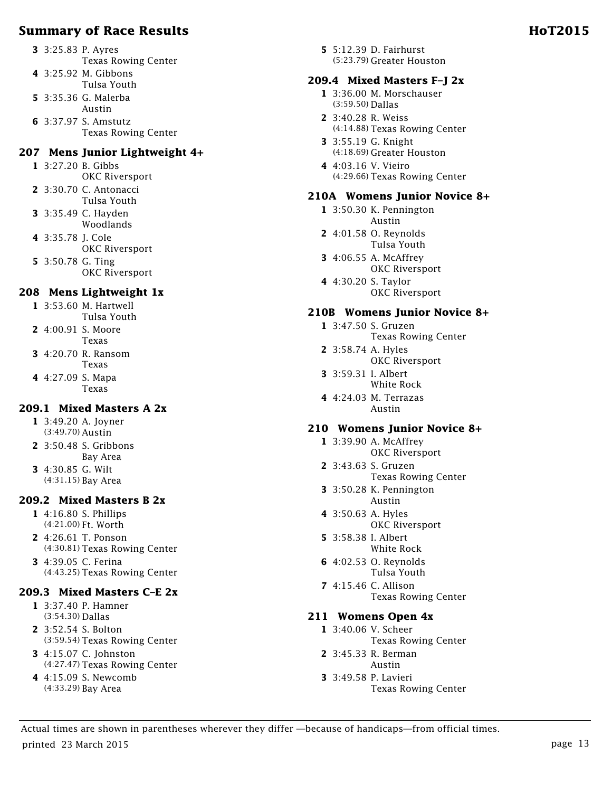- Texas Rowing Center **4** 3:25.92 M. Gibbons
- Tulsa Youth
- **5** 3:35.36 G. Malerba Austin
- **6** 3:37.97 S. Amstutz Texas Rowing Center

#### **207 Mens Junior Lightweight 4+**

- **1** 3:27.20 B. Gibbs
- OKC Riversport **2** 3:30.70 C. Antonacci
- Tulsa Youth **3** 3:35.49 C. Hayden
- Woodlands
- **4** 3:35.78 J. Cole OKC Riversport
- **5** 3:50.78 G. Ting OKC Riversport

### **208 Mens Lightweight 1x**

- **1** 3:53.60 M. Hartwell Tulsa Youth
- **2** 4:00.91 S. Moore Texas
- **3** 4:20.70 R. Ransom Texas
- **4** 4:27.09 S. Mapa Texas

#### **209.1 Mixed Masters A 2x**

- **1** 3:49.20 A. Joyner (3:49.70) Austin
- **2** 3:50.48 S. Gribbons Bay Area
- **3** 4:30.85 G. Wilt (4:31.15) Bay Area

#### **209.2 Mixed Masters B 2x**

- **1** 4:16.80 S. Phillips (4:21.00) Ft. Worth
- **2** 4:26.61 T. Ponson (4:30.81) Texas Rowing Center
- **3** 4:39.05 C. Ferina (4:43.25) Texas Rowing Center

# **209.3 Mixed Masters C–E 2x**

- **1** 3:37.40 P. Hamner (3:54.30) Dallas
- **2** 3:52.54 S. Bolton (3:59.54) Texas Rowing Center
- **3** 4:15.07 C. Johnston (4:27.47) Texas Rowing Center
- **4** 4:15.09 S. Newcomb (4:33.29) Bay Area

**5** 5:12.39 D. Fairhurst (5:23.79) Greater Houston

# **209.4 Mixed Masters F–J 2x**

- **1** 3:36.00 M. Morschauser (3:59.50) Dallas
- **2** 3:40.28 R. Weiss (4:14.88) Texas Rowing Center
- **3** 3:55.19 G. Knight (4:18.69) Greater Houston
- **4** 4:03.16 V. Vieiro (4:29.66) Texas Rowing Center

# **210A Womens Junior Novice 8+**

- **1** 3:50.30 K. Pennington Austin
- **2** 4:01.58 O. Reynolds Tulsa Youth
- **3** 4:06.55 A. McAffrey OKC Riversport
- **4** 4:30.20 S. Taylor OKC Riversport

# **210B Womens Junior Novice 8+**

- **1** 3:47.50 S. Gruzen Texas Rowing Center
- **2** 3:58.74 A. Hyles OKC Riversport
- **3** 3:59.31 I. Albert White Rock
- **4** 4:24.03 M. Terrazas Austin

# **210 Womens Junior Novice 8+**

- **1** 3:39.90 A. McAffrey OKC Riversport
- **2** 3:43.63 S. Gruzen
	- Texas Rowing Center
- **3** 3:50.28 K. Pennington Austin
- **4** 3:50.63 A. Hyles OKC Riversport
- **5** 3:58.38 I. Albert White Rock
- **6** 4:02.53 O. Reynolds Tulsa Youth
- **7** 4:15.46 C. Allison Texas Rowing Center

# **211 Womens Open 4x**

- **1** 3:40.06 V. Scheer
- Texas Rowing Center
- **2** 3:45.33 R. Berman Austin
- **3** 3:49.58 P. Lavieri Texas Rowing Center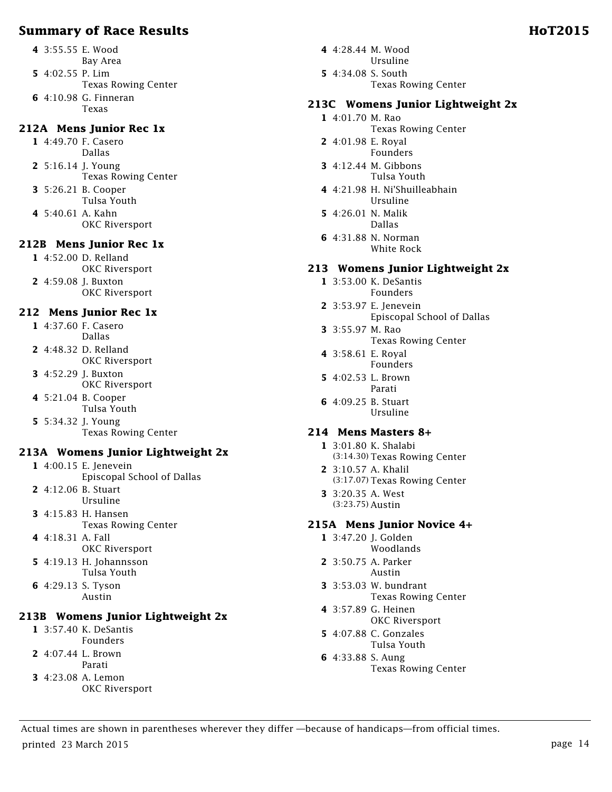- **4** 3:55.55 E. Wood
- Bay Area
- **5** 4:02.55 P. Lim
	- Texas Rowing Center
- **6** 4:10.98 G. Finneran Texas

### **212A Mens Junior Rec 1x**

- **1** 4:49.70 F. Casero Dallas
- **2** 5:16.14 J. Young Texas Rowing Center
- **3** 5:26.21 B. Cooper
	- Tulsa Youth
- **4** 5:40.61 A. Kahn OKC Riversport

### **212B Mens Junior Rec 1x**

- **1** 4:52.00 D. Relland OKC Riversport
- **2** 4:59.08 J. Buxton OKC Riversport

#### **212 Mens Junior Rec 1x**

- **1** 4:37.60 F. Casero Dallas
- **2** 4:48.32 D. Relland OKC Riversport
- **3** 4:52.29 J. Buxton OKC Riversport
- **4** 5:21.04 B. Cooper Tulsa Youth
- **5** 5:34.32 J. Young Texas Rowing Center

# **213A Womens Junior Lightweight 2x**

- **1** 4:00.15 E. Jenevein
- Episcopal School of Dallas
- **2** 4:12.06 B. Stuart
- Ursuline **3** 4:15.83 H. Hansen
- Texas Rowing Center
- **4** 4:18.31 A. Fall OKC Riversport
- **5** 4:19.13 H. Johannsson Tulsa Youth
- **6** 4:29.13 S. Tyson Austin

# **213B Womens Junior Lightweight 2x**

- **1** 3:57.40 K. DeSantis
- Founders
- **2** 4:07.44 L. Brown Parati
	-
- **3** 4:23.08 A. Lemon OKC Riversport
- **4** 4:28.44 M. Wood Ursuline **5** 4:34.08 S. South
	- Texas Rowing Center

### **213C Womens Junior Lightweight 2x**

- **1** 4:01.70 M. Rao
	- Texas Rowing Center
- **2** 4:01.98 E. Royal Founders
- **3** 4:12.44 M. Gibbons Tulsa Youth
- **4** 4:21.98 H. Ni'Shuilleabhain Ursuline
- **5** 4:26.01 N. Malik Dallas
- **6** 4:31.88 N. Norman White Rock

### **213 Womens Junior Lightweight 2x**

- **1** 3:53.00 K. DeSantis Founders
- **2** 3:53.97 E. Jenevein Episcopal School of Dallas
- **3** 3:55.97 M. Rao Texas Rowing Center
- **4** 3:58.61 E. Royal Founders
- **5** 4:02.53 L. Brown Parati
- **6** 4:09.25 B. Stuart Ursuline

#### **214 Mens Masters 8+**

- **1** 3:01.80 K. Shalabi (3:14.30) Texas Rowing Center
- **2** 3:10.57 A. Khalil (3:17.07) Texas Rowing Center
- **3** 3:20.35 A. West (3:23.75) Austin

#### **215A Mens Junior Novice 4+**

- **1** 3:47.20 J. Golden Woodlands
- **2** 3:50.75 A. Parker Austin
- **3** 3:53.03 W. bundrant Texas Rowing Center
- **4** 3:57.89 G. Heinen OKC Riversport
- **5** 4:07.88 C. Gonzales Tulsa Youth
- **6** 4:33.88 S. Aung Texas Rowing Center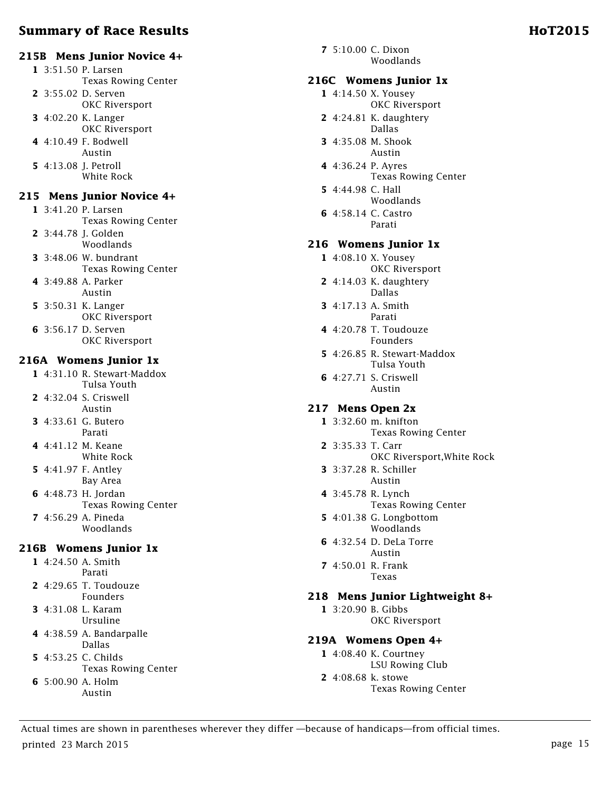#### **215B Mens Junior Novice 4+**

- **1** 3:51.50 P. Larsen Texas Rowing Center **2** 3:55.02 D. Serven OKC Riversport
- **3** 4:02.20 K. Langer OKC Riversport
- **4** 4:10.49 F. Bodwell
- Austin **5** 4:13.08 J. Petroll
- White Rock

#### **215 Mens Junior Novice 4+**

- **1** 3:41.20 P. Larsen Texas Rowing Center
- **2** 3:44.78 J. Golden
- Woodlands **3** 3:48.06 W. bundrant Texas Rowing Center
- **4** 3:49.88 A. Parker Austin
- **5** 3:50.31 K. Langer OKC Riversport
- **6** 3:56.17 D. Serven OKC Riversport

#### **216A Womens Junior 1x**

- **1** 4:31.10 R. Stewart-Maddox Tulsa Youth
- **2** 4:32.04 S. Criswell Austin
- **3** 4:33.61 G. Butero Parati
- **4** 4:41.12 M. Keane White Rock
- **5** 4:41.97 F. Antley Bay Area
- **6** 4:48.73 H. Jordan Texas Rowing Center
- **7** 4:56.29 A. Pineda Woodlands

#### **216B Womens Junior 1x**

- **1** 4:24.50 A. Smith Parati
- **2** 4:29.65 T. Toudouze Founders
- **3** 4:31.08 L. Karam Ursuline
- **4** 4:38.59 A. Bandarpalle Dallas
- **5** 4:53.25 C. Childs
	- Texas Rowing Center
- **6** 5:00.90 A. Holm Austin

**7** 5:10.00 C. Dixon Woodlands

#### **216C Womens Junior 1x**

- **1** 4:14.50 X. Yousey OKC Riversport
	- **2** 4:24.81 K. daughtery Dallas
	- **3** 4:35.08 M. Shook Austin
	- **4** 4:36.24 P. Ayres Texas Rowing Center
	- **5** 4:44.98 C. Hall Woodlands
	- **6** 4:58.14 C. Castro Parati

#### **216 Womens Junior 1x**

- **1** 4:08.10 X. Yousey OKC Riversport
- **2** 4:14.03 K. daughtery Dallas
- **3** 4:17.13 A. Smith Parati
- **4** 4:20.78 T. Toudouze Founders
- **5** 4:26.85 R. Stewart-Maddox Tulsa Youth
- **6** 4:27.71 S. Criswell Austin

#### **217 Mens Open 2x**

- **1** 3:32.60 m. knifton Texas Rowing Center
- **2** 3:35.33 T. Carr OKC Riversport,White Rock
- **3** 3:37.28 R. Schiller Austin
- **4** 3:45.78 R. Lynch Texas Rowing Center
- **5** 4:01.38 G. Longbottom Woodlands
- **6** 4:32.54 D. DeLa Torre Austin
- **7** 4:50.01 R. Frank Texas

#### **218 Mens Junior Lightweight 8+**

**1** 3:20.90 B. Gibbs OKC Riversport

#### **219A Womens Open 4+**

- **1** 4:08.40 K. Courtney LSU Rowing Club
- **2** 4:08.68 k. stowe Texas Rowing Center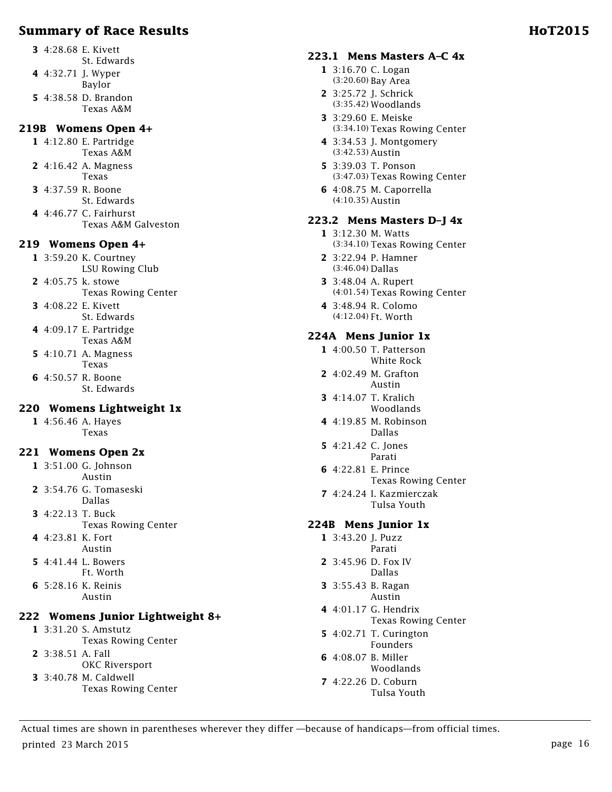- **3** 4:28.68 E. Kivett
- St. Edwards **4** 4:32.71 J. Wyper
- Baylor
- **5** 4:38.58 D. Brandon Texas A&M

### **219B Womens Open 4+**

- **1** 4:12.80 E. Partridge Texas A&M
- **2** 4:16.42 A. Magness Texas
- **3** 4:37.59 R. Boone
	- St. Edwards
- **4** 4:46.77 C. Fairhurst Texas A&M Galveston

### **219 Womens Open 4+**

- **1** 3:59.20 K. Courtney LSU Rowing Club
- **2** 4:05.75 k. stowe Texas Rowing Center
- **3** 4:08.22 E. Kivett St. Edwards
- **4** 4:09.17 E. Partridge Texas A&M
- **5** 4:10.71 A. Magness Texas
- **6** 4:50.57 R. Boone St. Edwards

# **220 Womens Lightweight 1x**

**1** 4:56.46 A. Hayes Texas

#### **221 Womens Open 2x**

- **1** 3:51.00 G. Johnson Austin
- **2** 3:54.76 G. Tomaseski Dallas
- **3** 4:22.13 T. Buck
- Texas Rowing Center
- **4** 4:23.81 K. Fort Austin
- **5** 4:41.44 L. Bowers Ft. Worth
- **6** 5:28.16 K. Reinis Austin

# **222 Womens Junior Lightweight 8+**

- **1** 3:31.20 S. Amstutz Texas Rowing Center
- **2** 3:38.51 A. Fall
	- OKC Riversport
- **3** 3:40.78 M. Caldwell
	- Texas Rowing Center

#### **223.1 Mens Masters A–C 4x**

- **1** 3:16.70 C. Logan (3:20.60) Bay Area
- **2** 3:25.72 J. Schrick (3:35.42) Woodlands
- **3** 3:29.60 E. Meiske (3:34.10) Texas Rowing Center
- **4** 3:34.53 J. Montgomery (3:42.53) Austin
- **5** 3:39.03 T. Ponson (3:47.03) Texas Rowing Center
- **6** 4:08.75 M. Caporrella (4:10.35) Austin

#### **223.2 Mens Masters D–J 4x**

- **1** 3:12.30 M. Watts (3:34.10) Texas Rowing Center
- **2** 3:22.94 P. Hamner (3:46.04) Dallas
- **3** 3:48.04 A. Rupert (4:01.54) Texas Rowing Center
- **4** 3:48.94 R. Colomo (4:12.04) Ft. Worth

### **224A Mens Junior 1x**

- **1** 4:00.50 T. Patterson White Rock
- **2** 4:02.49 M. Grafton Austin
- **3** 4:14.07 T. Kralich Woodlands
- **4** 4:19.85 M. Robinson Dallas
- **5** 4:21.42 C. Jones Parati
- **6** 4:22.81 E. Prince Texas Rowing Center
- **7** 4:24.24 I. Kazmierczak Tulsa Youth

# **224B Mens Junior 1x**

- **1** 3:43.20 J. Puzz Parati
- **2** 3:45.96 D. Fox IV Dallas
- **3** 3:55.43 B. Ragan Austin
- **4** 4:01.17 G. Hendrix Texas Rowing Center
- **5** 4:02.71 T. Curington Founders
- **6** 4:08.07 B. Miller Woodlands
- **7** 4:22.26 D. Coburn Tulsa Youth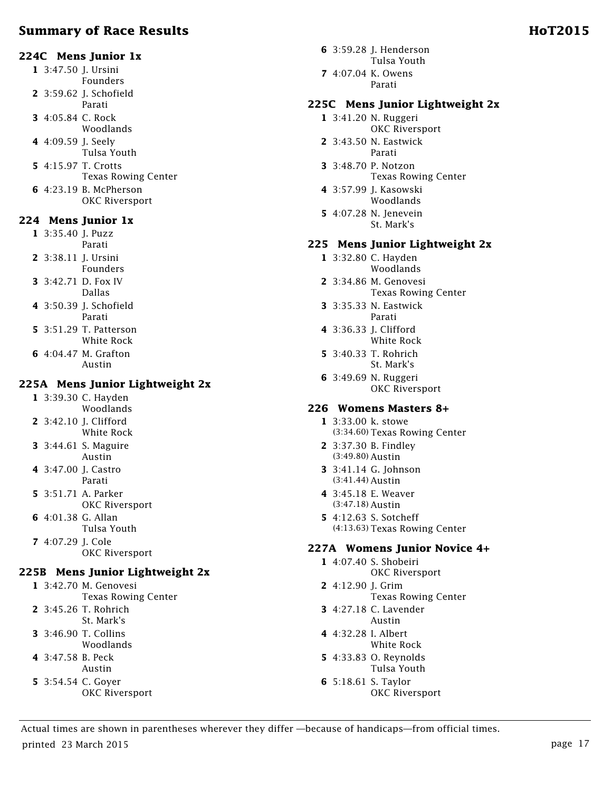- **1** 3:47.50 J. Ursini Founders
- **2** 3:59.62 J. Schofield Parati
- **3** 4:05.84 C. Rock Woodlands
- **4** 4:09.59 J. Seely
- Tulsa Youth **5** 4:15.97 T. Crotts
- Texas Rowing Center
- **6** 4:23.19 B. McPherson OKC Riversport

#### **224 Mens Junior 1x**

- **1** 3:35.40 J. Puzz Parati
- **2** 3:38.11 J. Ursini
- Founders **3** 3:42.71 D. Fox IV
- Dallas
- **4** 3:50.39 J. Schofield Parati
- **5** 3:51.29 T. Patterson White Rock
- **6** 4:04.47 M. Grafton Austin

### **225A Mens Junior Lightweight 2x**

- **1** 3:39.30 C. Hayden Woodlands
- **2** 3:42.10 J. Clifford White Rock
- **3** 3:44.61 S. Maguire Austin
- **4** 3:47.00 J. Castro Parati
- **5** 3:51.71 A. Parker OKC Riversport
- **6** 4:01.38 G. Allan Tulsa Youth
- **7** 4:07.29 J. Cole OKC Riversport

# **225B Mens Junior Lightweight 2x**

- **1** 3:42.70 M. Genovesi Texas Rowing Center **2** 3:45.26 T. Rohrich
- St. Mark's **3** 3:46.90 T. Collins
- Woodlands
- **4** 3:47.58 B. Peck
- Austin
- **5** 3:54.54 C. Goyer OKC Riversport
- **6** 3:59.28 J. Henderson Tulsa Youth
- **7** 4:07.04 K. Owens Parati

#### **225C Mens Junior Lightweight 2x**

- **1** 3:41.20 N. Ruggeri
- OKC Riversport **2** 3:43.50 N. Eastwick
- Parati
- **3** 3:48.70 P. Notzon Texas Rowing Center
- **4** 3:57.99 J. Kasowski Woodlands
- **5** 4:07.28 N. Jenevein St. Mark's

#### **225 Mens Junior Lightweight 2x**

- **1** 3:32.80 C. Hayden Woodlands
- **2** 3:34.86 M. Genovesi Texas Rowing Center
- **3** 3:35.33 N. Eastwick Parati
- **4** 3:36.33 J. Clifford White Rock
- **5** 3:40.33 T. Rohrich St. Mark's
- **6** 3:49.69 N. Ruggeri OKC Riversport

#### **226 Womens Masters 8+**

- **1** 3:33.00 k. stowe (3:34.60) Texas Rowing Center
- **2** 3:37.30 B. Findley (3:49.80) Austin
- **3** 3:41.14 G. Johnson (3:41.44) Austin
- **4** 3:45.18 E. Weaver (3:47.18) Austin
- **5** 4:12.63 S. Sotcheff (4:13.63) Texas Rowing Center

#### **227A Womens Junior Novice 4+**

- **1** 4:07.40 S. Shobeiri OKC Riversport
- **2** 4:12.90 J. Grim Texas Rowing Center
- **3** 4:27.18 C. Lavender Austin
- **4** 4:32.28 I. Albert
- White Rock **5** 4:33.83 O. Reynolds
- Tulsa Youth
- **6** 5:18.61 S. Taylor OKC Riversport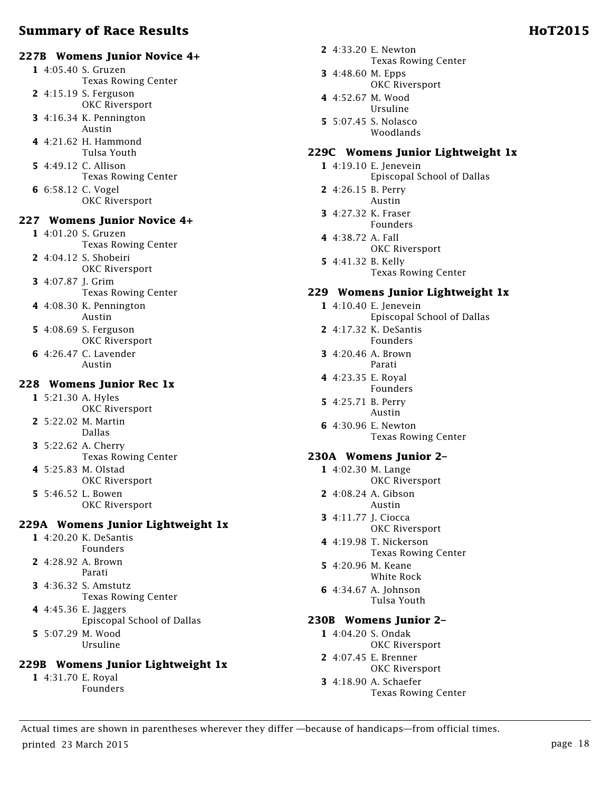# **227B Womens Junior Novice 4+**

- **1** 4:05.40 S. Gruzen Texas Rowing Center
- **2** 4:15.19 S. Ferguson OKC Riversport
- **3** 4:16.34 K. Pennington
- Austin **4** 4:21.62 H. Hammond
- Tulsa Youth **5** 4:49.12 C. Allison Texas Rowing Center
- **6** 6:58.12 C. Vogel OKC Riversport

# **227 Womens Junior Novice 4+**

- **1** 4:01.20 S. Gruzen Texas Rowing Center **2** 4:04.12 S. Shobeiri OKC Riversport
- **3** 4:07.87 J. Grim Texas Rowing Center
- **4** 4:08.30 K. Pennington Austin
- **5** 4:08.69 S. Ferguson OKC Riversport
- **6** 4:26.47 C. Lavender Austin

#### **228 Womens Junior Rec 1x**

- **1** 5:21.30 A. Hyles OKC Riversport
- **2** 5:22.02 M. Martin Dallas
- **3** 5:22.62 A. Cherry Texas Rowing Center
- **4** 5:25.83 M. Olstad OKC Riversport
- **5** 5:46.52 L. Bowen OKC Riversport

#### **229A Womens Junior Lightweight 1x**

- **1** 4:20.20 K. DeSantis Founders
- **2** 4:28.92 A. Brown Parati
- **3** 4:36.32 S. Amstutz Texas Rowing Center
- **4** 4:45.36 E. Jaggers Episcopal School of Dallas
- **5** 5:07.29 M. Wood Ursuline

# **229B Womens Junior Lightweight 1x**

**1** 4:31.70 E. Royal Founders

- **2** 4:33.20 E. Newton Texas Rowing Center
- **3** 4:48.60 M. Epps OKC Riversport
- **4** 4:52.67 M. Wood Ursuline
- **5** 5:07.45 S. Nolasco Woodlands

# **229C Womens Junior Lightweight 1x**

- **1** 4:19.10 E. Jenevein Episcopal School of Dallas
- **2** 4:26.15 B. Perry Austin
- **3** 4:27.32 K. Fraser Founders
- **4** 4:38.72 A. Fall OKC Riversport
- **5** 4:41.32 B. Kelly Texas Rowing Center

# **229 Womens Junior Lightweight 1x**

- **1** 4:10.40 E. Jenevein Episcopal School of Dallas
- **2** 4:17.32 K. DeSantis Founders
- **3** 4:20.46 A. Brown Parati
- **4** 4:23.35 E. Royal Founders
- **5** 4:25.71 B. Perry Austin
- **6** 4:30.96 E. Newton Texas Rowing Center

# **230A Womens Junior 2–**

- **1** 4:02.30 M. Lange OKC Riversport
- **2** 4:08.24 A. Gibson Austin
- **3** 4:11.77 J. Ciocca OKC Riversport
- **4** 4:19.98 T. Nickerson Texas Rowing Center
- **5** 4:20.96 M. Keane White Rock
- **6** 4:34.67 A. Johnson Tulsa Youth

# **230B Womens Junior 2–**

- **1** 4:04.20 S. Ondak
	- OKC Riversport
- **2** 4:07.45 E. Brenner OKC Riversport
- **3** 4:18.90 A. Schaefer Texas Rowing Center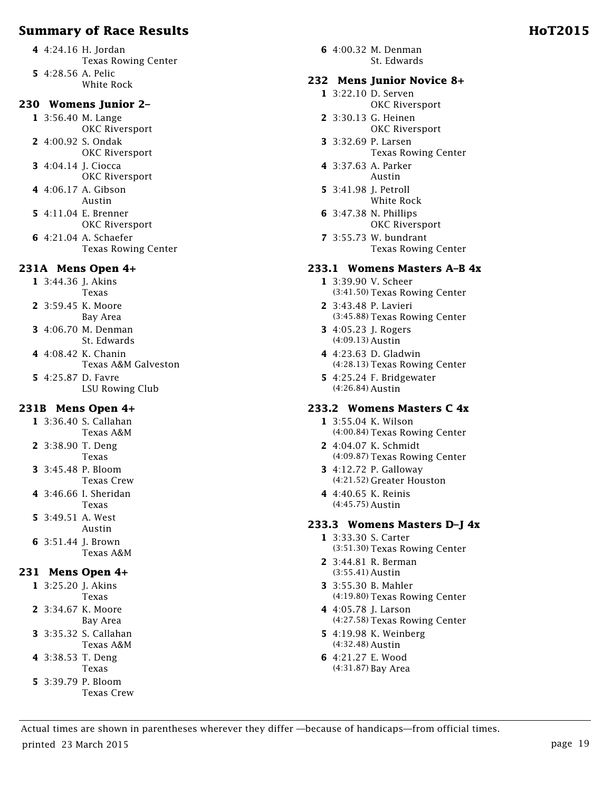#### **230 Womens Junior 2–**

**1** 3:56.40 M. Lange OKC Riversport

- **2** 4:00.92 S. Ondak OKC Riversport
- **3** 4:04.14 J. Ciocca OKC Riversport
- **4** 4:06.17 A. Gibson Austin
- **5** 4:11.04 E. Brenner OKC Riversport
- **6** 4:21.04 A. Schaefer Texas Rowing Center

#### **231A Mens Open 4+**

**1** 3:44.36 J. Akins Texas

- **2** 3:59.45 K. Moore
- Bay Area **3** 4:06.70 M. Denman St. Edwards
- **4** 4:08.42 K. Chanin Texas A&M Galveston **5** 4:25.87 D. Favre
	- LSU Rowing Club

#### **231B Mens Open 4+**

- **1** 3:36.40 S. Callahan Texas A&M
- **2** 3:38.90 T. Deng Texas
- **3** 3:45.48 P. Bloom Texas Crew
- **4** 3:46.66 I. Sheridan Texas
- **5** 3:49.51 A. West Austin
- **6** 3:51.44 J. Brown Texas A&M

# **231 Mens Open 4+**

- **1** 3:25.20 J. Akins Texas
- **2** 3:34.67 K. Moore Bay Area
- **3** 3:35.32 S. Callahan Texas A&M
- **4** 3:38.53 T. Deng
- Texas
- **5** 3:39.79 P. Bloom Texas Crew

**6** 4:00.32 M. Denman St. Edwards

#### **232 Mens Junior Novice 8+**

- **1** 3:22.10 D. Serven OKC Riversport
- **2** 3:30.13 G. Heinen OKC Riversport
- **3** 3:32.69 P. Larsen Texas Rowing Center
- **4** 3:37.63 A. Parker Austin
- **5** 3:41.98 J. Petroll White Rock
- **6** 3:47.38 N. Phillips OKC Riversport
- **7** 3:55.73 W. bundrant Texas Rowing Center

#### **233.1 Womens Masters A–B 4x**

- **1** 3:39.90 V. Scheer (3:41.50) Texas Rowing Center
- **2** 3:43.48 P. Lavieri (3:45.88) Texas Rowing Center
- **3** 4:05.23 J. Rogers (4:09.13) Austin
- **4** 4:23.63 D. Gladwin (4:28.13) Texas Rowing Center
- **5** 4:25.24 F. Bridgewater (4:26.84) Austin

#### **233.2 Womens Masters C 4x**

- **1** 3:55.04 K. Wilson (4:00.84) Texas Rowing Center
- **2** 4:04.07 K. Schmidt (4:09.87) Texas Rowing Center
- **3** 4:12.72 P. Galloway (4:21.52) Greater Houston
- **4** 4:40.65 K. Reinis (4:45.75) Austin

#### **233.3 Womens Masters D–J 4x**

- **1** 3:33.30 S. Carter (3:51.30) Texas Rowing Center
- **2** 3:44.81 R. Berman (3:55.41) Austin
- **3** 3:55.30 B. Mahler (4:19.80) Texas Rowing Center
- **4** 4:05.78 J. Larson (4:27.58) Texas Rowing Center
- **5** 4:19.98 K. Weinberg (4:32.48) Austin
- **6** 4:21.27 E. Wood (4:31.87) Bay Area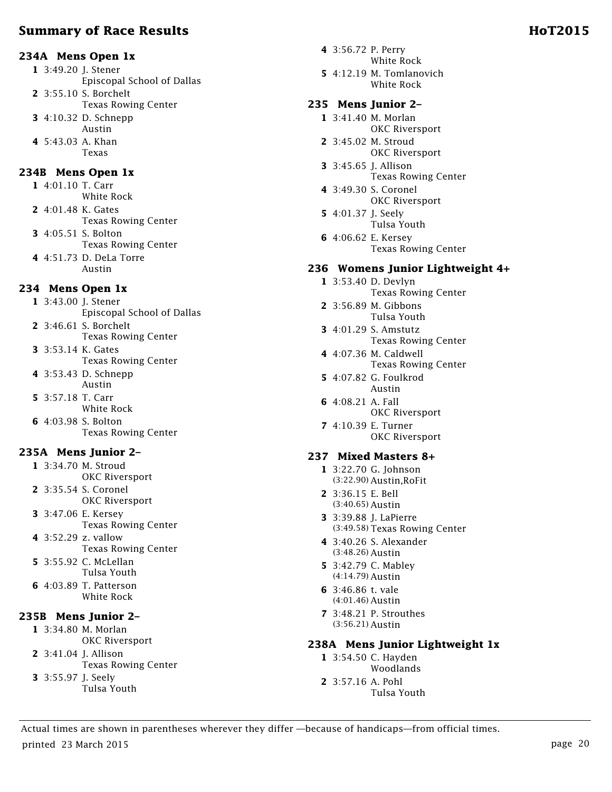#### **234A Mens Open 1x**

**1** 3:49.20 J. Stener Episcopal School of Dallas **2** 3:55.10 S. Borchelt Texas Rowing Center **3** 4:10.32 D. Schnepp Austin **4** 5:43.03 A. Khan Texas

### **234B Mens Open 1x**

**1** 4:01.10 T. Carr White Rock **2** 4:01.48 K. Gates Texas Rowing Center **3** 4:05.51 S. Bolton Texas Rowing Center **4** 4:51.73 D. DeLa Torre Austin

# **234 Mens Open 1x**

**1** 3:43.00 J. Stener Episcopal School of Dallas **2** 3:46.61 S. Borchelt

- Texas Rowing Center
- **3** 3:53.14 K. Gates Texas Rowing Center
- **4** 3:53.43 D. Schnepp Austin
- **5** 3:57.18 T. Carr White Rock
- **6** 4:03.98 S. Bolton Texas Rowing Center

# **235A Mens Junior 2–**

- **1** 3:34.70 M. Stroud OKC Riversport
- **2** 3:35.54 S. Coronel OKC Riversport
- **3** 3:47.06 E. Kersey Texas Rowing Center
- **4** 3:52.29 z. vallow Texas Rowing Center **5** 3:55.92 C. McLellan
- Tulsa Youth **6** 4:03.89 T. Patterson White Rock

#### **235B Mens Junior 2–**

**1** 3:34.80 M. Morlan OKC Riversport

- **2** 3:41.04 J. Allison Texas Rowing Center
- **3** 3:55.97 J. Seely Tulsa Youth
- **4** 3:56.72 P. Perry White Rock
- **5** 4:12.19 M. Tomlanovich White Rock

#### **235 Mens Junior 2–**

- **1** 3:41.40 M. Morlan OKC Riversport
- **2** 3:45.02 M. Stroud OKC Riversport
- **3** 3:45.65 J. Allison Texas Rowing Center
- **4** 3:49.30 S. Coronel OKC Riversport
- **5** 4:01.37 J. Seely Tulsa Youth
- **6** 4:06.62 E. Kersey Texas Rowing Center

### **236 Womens Junior Lightweight 4+**

- **1** 3:53.40 D. Devlyn Texas Rowing Center
- **2** 3:56.89 M. Gibbons Tulsa Youth
- **3** 4:01.29 S. Amstutz Texas Rowing Center
- **4** 4:07.36 M. Caldwell Texas Rowing Center
- **5** 4:07.82 G. Foulkrod Austin
- **6** 4:08.21 A. Fall
	- OKC Riversport
- **7** 4:10.39 E. Turner OKC Riversport

#### **237 Mixed Masters 8+**

- **1** 3:22.70 G. Johnson (3:22.90) Austin,RoFit
- **2** 3:36.15 E. Bell (3:40.65) Austin
- **3** 3:39.88 J. LaPierre (3:49.58) Texas Rowing Center
- **4** 3:40.26 S. Alexander (3:48.26) Austin
- **5** 3:42.79 C. Mabley (4:14.79) Austin
- **6** 3:46.86 t. vale (4:01.46) Austin
- **7** 3:48.21 P. Strouthes (3:56.21) Austin

#### **238A Mens Junior Lightweight 1x**

- **1** 3:54.50 C. Hayden Woodlands
- **2** 3:57.16 A. Pohl Tulsa Youth